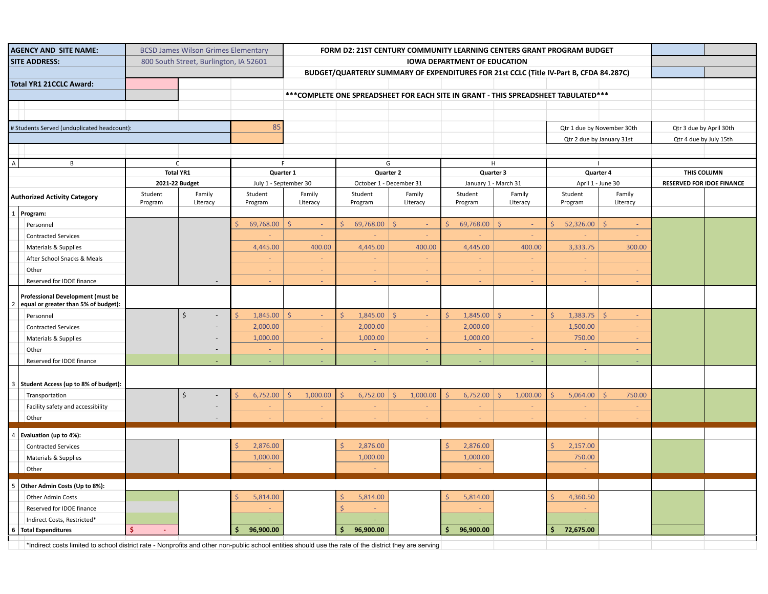| <b>AGENCY AND SITE NAME:</b>                |                                                                                                                                                        |                  | <b>BCSD James Wilson Grimes Elementary</b> |                       | FORM D2: 21ST CENTURY COMMUNITY LEARNING CENTERS GRANT PROGRAM BUDGET                                                         |                            |                  |                            |                                  |                                                                                    |                         |                                  |  |
|---------------------------------------------|--------------------------------------------------------------------------------------------------------------------------------------------------------|------------------|--------------------------------------------|-----------------------|-------------------------------------------------------------------------------------------------------------------------------|----------------------------|------------------|----------------------------|----------------------------------|------------------------------------------------------------------------------------|-------------------------|----------------------------------|--|
| <b>SITE ADDRESS:</b>                        |                                                                                                                                                        |                  | 800 South Street, Burlington, IA 52601     |                       |                                                                                                                               |                            |                  |                            |                                  |                                                                                    |                         |                                  |  |
|                                             |                                                                                                                                                        |                  |                                            |                       | <b>IOWA DEPARTMENT OF EDUCATION</b><br>BUDGET/QUARTERLY SUMMARY OF EXPENDITURES FOR 21st CCLC (Title IV-Part B, CFDA 84.287C) |                            |                  |                            |                                  |                                                                                    |                         |                                  |  |
|                                             | Total YR1 21CCLC Award:                                                                                                                                |                  |                                            |                       |                                                                                                                               |                            |                  |                            |                                  |                                                                                    |                         |                                  |  |
|                                             |                                                                                                                                                        |                  |                                            |                       |                                                                                                                               |                            |                  |                            |                                  | ***COMPLETE ONE SPREADSHEET FOR EACH SITE IN GRANT - THIS SPREADSHEET TABULATED*** |                         |                                  |  |
|                                             |                                                                                                                                                        |                  |                                            |                       |                                                                                                                               |                            |                  |                            |                                  |                                                                                    |                         |                                  |  |
|                                             |                                                                                                                                                        |                  |                                            |                       |                                                                                                                               |                            |                  |                            |                                  |                                                                                    |                         |                                  |  |
|                                             |                                                                                                                                                        |                  |                                            |                       |                                                                                                                               |                            |                  |                            |                                  |                                                                                    |                         |                                  |  |
| # Students Served (unduplicated headcount): |                                                                                                                                                        |                  |                                            | 85                    |                                                                                                                               |                            |                  | Qtr 1 due by November 30th |                                  |                                                                                    | Qtr 3 due by April 30th |                                  |  |
|                                             |                                                                                                                                                        |                  |                                            |                       |                                                                                                                               | Qtr 2 due by January 31st  |                  |                            | Qtr 4 due by July 15th           |                                                                                    |                         |                                  |  |
|                                             |                                                                                                                                                        |                  |                                            |                       |                                                                                                                               |                            |                  |                            |                                  |                                                                                    |                         |                                  |  |
| $\overline{A}$                              | B                                                                                                                                                      |                  | $\mathsf{C}$                               | F                     |                                                                                                                               | G                          |                  |                            | H                                |                                                                                    |                         |                                  |  |
|                                             |                                                                                                                                                        | <b>Total YR1</b> |                                            | Quarter 1             |                                                                                                                               | Quarter 2                  |                  | Quarter 3                  |                                  | Quarter 4                                                                          |                         | THIS COLUMN                      |  |
|                                             |                                                                                                                                                        | 2021-22 Budget   |                                            | July 1 - September 30 |                                                                                                                               | October 1 - December 31    |                  | January 1 - March 31       |                                  | April 1 - June 30                                                                  |                         | <b>RESERVED FOR IDOE FINANCE</b> |  |
| <b>Authorized Activity Category</b>         |                                                                                                                                                        | Student          | Family                                     | Student               | Family                                                                                                                        | Student                    | Family           | Student                    | Family                           | Student                                                                            | Family                  |                                  |  |
|                                             |                                                                                                                                                        | Program          | Literacy                                   | Program               | Literacy                                                                                                                      | Program                    | Literacy         | Program                    | Literacy                         | Program                                                                            | Literacy                |                                  |  |
|                                             | 1 Program:                                                                                                                                             |                  |                                            |                       |                                                                                                                               |                            |                  |                            |                                  |                                                                                    |                         |                                  |  |
|                                             | Personnel                                                                                                                                              |                  |                                            | ¢<br>69,768.00        | $\mathsf{S}$                                                                                                                  | \$<br>69,768.00            | $\zeta$          | 69,768.00                  | $\zeta$                          | 52,326.00                                                                          | $\zeta$                 |                                  |  |
|                                             | <b>Contracted Services</b>                                                                                                                             |                  |                                            |                       | $\sim$                                                                                                                        |                            | $\sim$           |                            | $\sim$                           |                                                                                    |                         |                                  |  |
|                                             | Materials & Supplies                                                                                                                                   |                  |                                            | 4,445.00              | 400.00                                                                                                                        | 4,445.00                   | 400.00           | 4,445.00                   | 400.00                           | 3,333.75                                                                           | 300.00                  |                                  |  |
|                                             | After School Snacks & Meals                                                                                                                            |                  |                                            |                       |                                                                                                                               |                            |                  |                            |                                  |                                                                                    |                         |                                  |  |
|                                             | Other                                                                                                                                                  |                  |                                            | $\sim$                | ÷.                                                                                                                            | $\sim$                     | $\sim$           | $\sim$                     | $\sim$                           |                                                                                    |                         |                                  |  |
|                                             |                                                                                                                                                        |                  |                                            |                       |                                                                                                                               |                            |                  |                            |                                  |                                                                                    |                         |                                  |  |
|                                             | Reserved for IDOE finance                                                                                                                              |                  |                                            |                       |                                                                                                                               |                            |                  |                            |                                  |                                                                                    |                         |                                  |  |
|                                             | <b>Professional Development (must be</b><br>2 equal or greater than 5% of budget):                                                                     |                  |                                            |                       |                                                                                                                               |                            |                  |                            |                                  |                                                                                    |                         |                                  |  |
|                                             | Personnel                                                                                                                                              |                  | $\mathsf{\dot{S}}$                         | 1,845.00              | $\mathsf{S}$<br>$\equiv$                                                                                                      | $\overline{S}$<br>1,845.00 | $\zeta$          | 1,845.00<br>S              | $\mathsf{S}$<br>$\omega_{\rm c}$ | 1,383.75<br>Ś                                                                      | $\mathsf{S}$            |                                  |  |
|                                             | <b>Contracted Services</b>                                                                                                                             |                  |                                            | 2,000.00              |                                                                                                                               | 2,000.00                   |                  | 2,000.00                   |                                  | 1,500.00                                                                           |                         |                                  |  |
|                                             | Materials & Supplies                                                                                                                                   |                  |                                            | 1,000.00              | $\sim$                                                                                                                        | 1,000.00                   | ÷                | 1,000.00                   | ÷                                | 750.00                                                                             |                         |                                  |  |
|                                             | Other                                                                                                                                                  |                  |                                            |                       | $\sim$                                                                                                                        |                            | ÷,               |                            |                                  |                                                                                    |                         |                                  |  |
|                                             |                                                                                                                                                        |                  |                                            |                       |                                                                                                                               |                            |                  |                            |                                  |                                                                                    |                         |                                  |  |
|                                             | Reserved for IDOE finance                                                                                                                              |                  |                                            |                       |                                                                                                                               |                            |                  |                            |                                  |                                                                                    |                         |                                  |  |
|                                             |                                                                                                                                                        |                  |                                            |                       |                                                                                                                               |                            |                  |                            |                                  |                                                                                    |                         |                                  |  |
|                                             | 3   Student Access (up to 8% of budget):                                                                                                               |                  |                                            |                       |                                                                                                                               |                            |                  |                            |                                  |                                                                                    |                         |                                  |  |
|                                             | Transportation                                                                                                                                         |                  | $\mathsf{\dot{S}}$                         | $6,752.00$ \$<br>ς    | 1,000.00                                                                                                                      | $\zeta$<br>6,752.00        | I \$<br>1,000.00 | 6,752.00                   | $\mathsf{S}$<br>1,000.00         | 5,064.00<br>$\zeta$                                                                | $\mathsf{S}$<br>750.00  |                                  |  |
|                                             | Facility safety and accessibility                                                                                                                      |                  |                                            |                       | ÷                                                                                                                             |                            |                  |                            |                                  |                                                                                    |                         |                                  |  |
|                                             | Other                                                                                                                                                  |                  |                                            |                       |                                                                                                                               |                            |                  |                            | $\sim$                           |                                                                                    |                         |                                  |  |
|                                             |                                                                                                                                                        |                  |                                            |                       |                                                                                                                               |                            |                  |                            |                                  |                                                                                    |                         |                                  |  |
| 4                                           | Evaluation (up to 4%):                                                                                                                                 |                  |                                            |                       |                                                                                                                               |                            |                  |                            |                                  |                                                                                    |                         |                                  |  |
|                                             | <b>Contracted Services</b>                                                                                                                             |                  |                                            | 2,876.00              |                                                                                                                               | 2,876.00                   |                  | 2,876.00                   |                                  | 2,157.00                                                                           |                         |                                  |  |
|                                             | Materials & Supplies                                                                                                                                   |                  |                                            | 1,000.00              |                                                                                                                               | 1,000.00                   |                  | 1,000.00                   |                                  | 750.00                                                                             |                         |                                  |  |
|                                             | Other                                                                                                                                                  |                  |                                            |                       |                                                                                                                               |                            |                  |                            |                                  |                                                                                    |                         |                                  |  |
| 5                                           | Other Admin Costs (Up to 8%):                                                                                                                          |                  |                                            |                       |                                                                                                                               |                            |                  |                            |                                  |                                                                                    |                         |                                  |  |
|                                             | Other Admin Costs                                                                                                                                      |                  |                                            | 5,814.00              |                                                                                                                               | 5,814.00                   |                  | 5,814.00                   |                                  | 4,360.50                                                                           |                         |                                  |  |
|                                             | Reserved for IDOE finance                                                                                                                              |                  |                                            |                       |                                                                                                                               |                            |                  |                            |                                  |                                                                                    |                         |                                  |  |
|                                             | Indirect Costs, Restricted*                                                                                                                            |                  |                                            |                       |                                                                                                                               |                            |                  |                            |                                  |                                                                                    |                         |                                  |  |
|                                             | 6   Total Expenditures                                                                                                                                 | Š.               |                                            | 96,900.00<br>Ŝ        |                                                                                                                               | 96,900.00<br>Ŝ             |                  | 96,900.00<br>Ŝ             |                                  | 72,675.00<br>Ŝ.                                                                    |                         |                                  |  |
|                                             |                                                                                                                                                        |                  |                                            |                       |                                                                                                                               |                            |                  |                            |                                  |                                                                                    |                         |                                  |  |
|                                             | *Indirect costs limited to school district rate - Nonprofits and other non-public school entities should use the rate of the district they are serving |                  |                                            |                       |                                                                                                                               |                            |                  |                            |                                  |                                                                                    |                         |                                  |  |